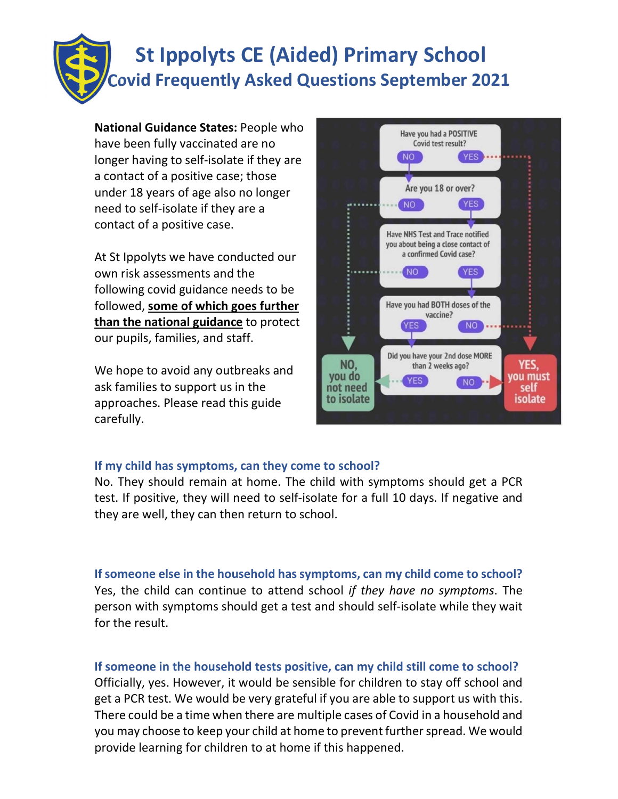# St Ippolyts CE (Aided) Primary School Covid Frequently Asked Questions September 2021

National Guidance States: People who have been fully vaccinated are no longer having to self-isolate if they are a contact of a positive case; those under 18 years of age also no longer need to self-isolate if they are a contact of a positive case.

At St Ippolyts we have conducted our own risk assessments and the following covid guidance needs to be followed, some of which goes further than the national guidance to protect our pupils, families, and staff.

We hope to avoid any outbreaks and  $\begin{array}{|c|c|}\n\hline\n\text{you do}\n\end{array}$ ask families to support us in the **and in the substitutional intervalse of the solution** approaches. Please read this guide carefully.



# If my child has symptoms, can they come to school?

No. They should remain at home. The child with symptoms should get a PCR test. If positive, they will need to self-isolate for a full 10 days. If negative and they are well, they can then return to school.

If someone else in the household has symptoms, can my child come to school? Yes, the child can continue to attend school if they have no symptoms. The person with symptoms should get a test and should self-isolate while they wait for the result.

# If someone in the household tests positive, can my child still come to school?

Officially, yes. However, it would be sensible for children to stay off school and get a PCR test. We would be very grateful if you are able to support us with this. There could be a time when there are multiple cases of Covid in a household and you may choose to keep your child at home to prevent further spread. We would provide learning for children to at home if this happened.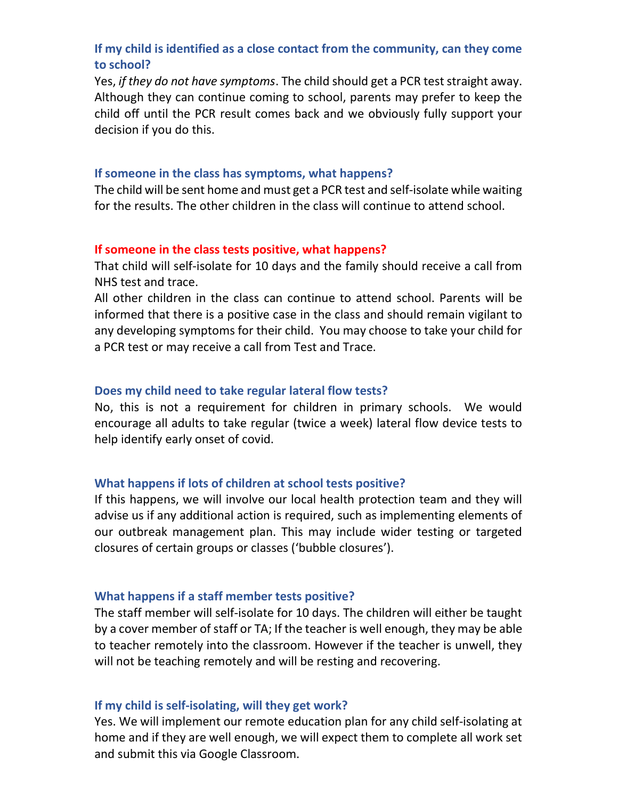# If my child is identified as a close contact from the community, can they come to school?

Yes, if they do not have symptoms. The child should get a PCR test straight away. Although they can continue coming to school, parents may prefer to keep the child off until the PCR result comes back and we obviously fully support your decision if you do this.

#### If someone in the class has symptoms, what happens?

The child will be sent home and must get a PCR test and self-isolate while waiting for the results. The other children in the class will continue to attend school.

#### If someone in the class tests positive, what happens?

That child will self-isolate for 10 days and the family should receive a call from NHS test and trace.

All other children in the class can continue to attend school. Parents will be informed that there is a positive case in the class and should remain vigilant to any developing symptoms for their child. You may choose to take your child for a PCR test or may receive a call from Test and Trace.

#### Does my child need to take regular lateral flow tests?

No, this is not a requirement for children in primary schools. We would encourage all adults to take regular (twice a week) lateral flow device tests to help identify early onset of covid.

#### What happens if lots of children at school tests positive?

If this happens, we will involve our local health protection team and they will advise us if any additional action is required, such as implementing elements of our outbreak management plan. This may include wider testing or targeted closures of certain groups or classes ('bubble closures').

#### What happens if a staff member tests positive?

The staff member will self-isolate for 10 days. The children will either be taught by a cover member of staff or TA; If the teacher is well enough, they may be able to teacher remotely into the classroom. However if the teacher is unwell, they will not be teaching remotely and will be resting and recovering.

#### If my child is self-isolating, will they get work?

Yes. We will implement our remote education plan for any child self-isolating at home and if they are well enough, we will expect them to complete all work set and submit this via Google Classroom.